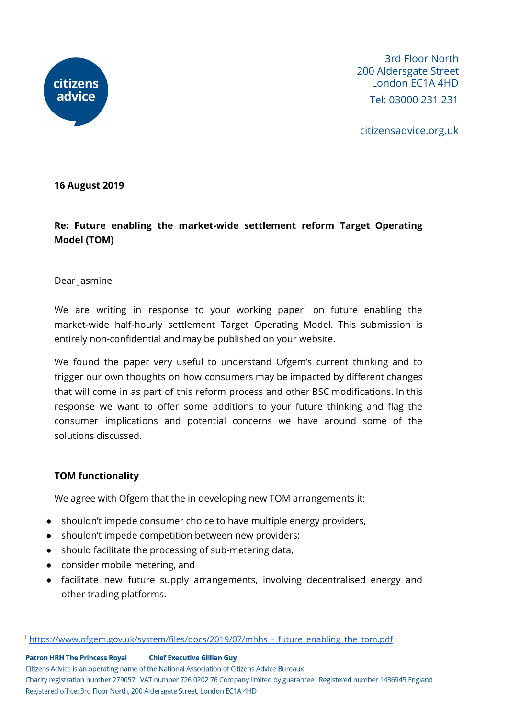

citizensadvice.org.uk

**16 August 2019**

**Re: Future enabling the market-wide settlement reform Target Operating Model (TOM)**

#### Dear Jasmine

We are writing in response to your working paper<sup>1</sup> on future enabling the market-wide half-hourly settlement Target Operating Model. This submission is entirely non-confidential and may be published on your website.

We found the paper very useful to understand Ofgem's current thinking and to trigger our own thoughts on how consumers may be impacted by different changes that will come in as part of this reform process and other BSC modifications. In this response we want to offer some additions to your future thinking and flag the consumer implications and potential concerns we have around some of the solutions discussed.

### **TOM functionality**

We agree with Ofgem that the in developing new TOM arrangements it:

- shouldn't impede consumer choice to have multiple energy providers,
- shouldn't impede competition between new providers;
- should facilitate the processing of sub-metering data,
- consider mobile metering, and
- facilitate new future supply arrangements, involving decentralised energy and other trading platforms.

**Patron HRH The Princess Royal Chief Executive Gillian Guy** 

Citizens Advice is an operating name of the National Association of Citizens Advice Bureaux

Charity registration number 279057 VAT number 726 0202 76 Company limited by guarantee Registered number 1436945 England Registered office: 3rd Floor North, 200 Aldersgate Street, London EC1A 4HD

<sup>&</sup>lt;sup>1</sup> https://www.ofgem.gov.uk/system/files/docs/2019/07/mhhs - future\_enabling\_the\_tom.pdf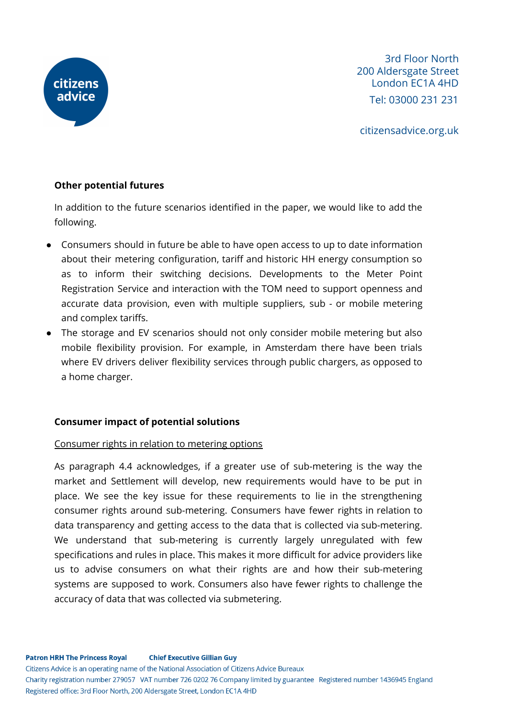

citizensadvice.org.uk

# **Other potential futures**

In addition to the future scenarios identified in the paper, we would like to add the following.

- Consumers should in future be able to have open access to up to date information about their metering configuration, tariff and historic HH energy consumption so as to inform their switching decisions. Developments to the Meter Point Registration Service and interaction with the TOM need to support openness and accurate data provision, even with multiple suppliers, sub - or mobile metering and complex tariffs.
- The storage and EV scenarios should not only consider mobile metering but also mobile flexibility provision. For example, in Amsterdam there have been trials where EV drivers deliver flexibility services through public chargers, as opposed to a home charger.

# **Consumer impact of potential solutions**

### Consumer rights in relation to metering options

As paragraph 4.4 acknowledges, if a greater use of sub-metering is the way the market and Settlement will develop, new requirements would have to be put in place. We see the key issue for these requirements to lie in the strengthening consumer rights around sub-metering. Consumers have fewer rights in relation to data transparency and getting access to the data that is collected via sub-metering. We understand that sub-metering is currently largely unregulated with few specifications and rules in place. This makes it more difficult for advice providers like us to advise consumers on what their rights are and how their sub-metering systems are supposed to work. Consumers also have fewer rights to challenge the accuracy of data that was collected via submetering.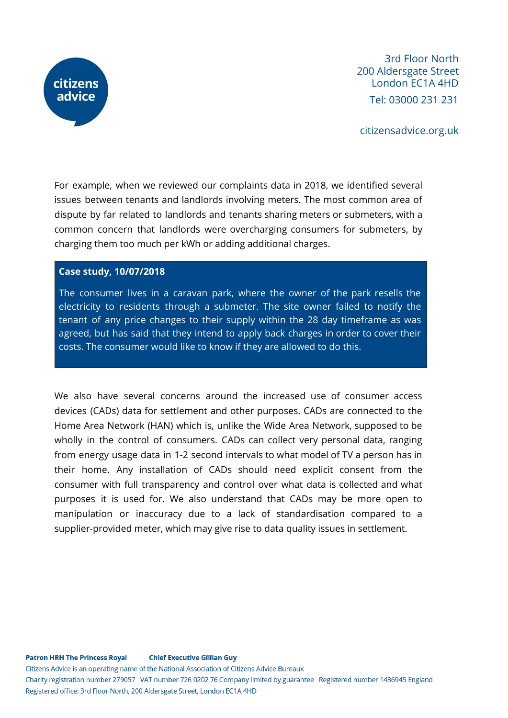

citizensadvice.org.uk

For example, when we reviewed our complaints data in 2018, we identified several issues between tenants and landlords involving meters. The most common area of dispute by far related to landlords and tenants sharing meters or submeters, with a common concern that landlords were overcharging consumers for submeters, by charging them too much per kWh or adding additional charges.

#### **Case study, 10/07/2018**

The consumer lives in a caravan park, where the owner of the park resells the electricity to residents through a submeter. The site owner failed to notify the tenant of any price changes to their supply within the 28 day timeframe as was agreed, but has said that they intend to apply back charges in order to cover their costs. The consumer would like to know if they are allowed to do this.

We also have several concerns around the increased use of consumer access devices (CADs) data for settlement and other purposes. CADs are connected to the Home Area Network (HAN) which is, unlike the Wide Area Network, supposed to be wholly in the control of consumers. CADs can collect very personal data, ranging from energy usage data in 1-2 second intervals to what model of TV a person has in their home. Any installation of CADs should need explicit consent from the consumer with full transparency and control over what data is collected and what purposes it is used for. We also understand that CADs may be more open to manipulation or inaccuracy due to a lack of standardisation compared to a supplier-provided meter, which may give rise to data quality issues in settlement.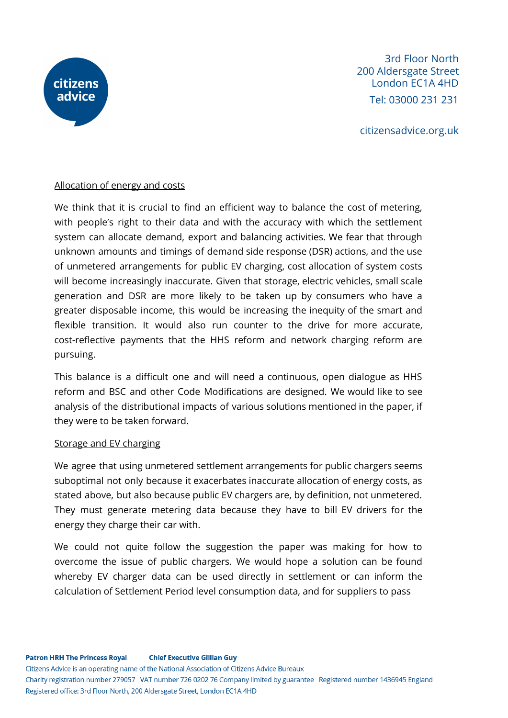

citizensadvice.org.uk

### Allocation of energy and costs

We think that it is crucial to find an efficient way to balance the cost of metering, with people's right to their data and with the accuracy with which the settlement system can allocate demand, export and balancing activities. We fear that through unknown amounts and timings of demand side response (DSR) actions, and the use of unmetered arrangements for public EV charging, cost allocation of system costs will become increasingly inaccurate. Given that storage, electric vehicles, small scale generation and DSR are more likely to be taken up by consumers who have a greater disposable income, this would be increasing the inequity of the smart and flexible transition. It would also run counter to the drive for more accurate, cost-reflective payments that the HHS reform and network charging reform are pursuing.

This balance is a difficult one and will need a continuous, open dialogue as HHS reform and BSC and other Code Modifications are designed. We would like to see analysis of the distributional impacts of various solutions mentioned in the paper, if they were to be taken forward.

#### Storage and EV charging

We agree that using unmetered settlement arrangements for public chargers seems suboptimal not only because it exacerbates inaccurate allocation of energy costs, as stated above, but also because public EV chargers are, by definition, not unmetered. They must generate metering data because they have to bill EV drivers for the energy they charge their car with.

We could not quite follow the suggestion the paper was making for how to overcome the issue of public chargers. We would hope a solution can be found whereby EV charger data can be used directly in settlement or can inform the calculation of Settlement Period level consumption data, and for suppliers to pass